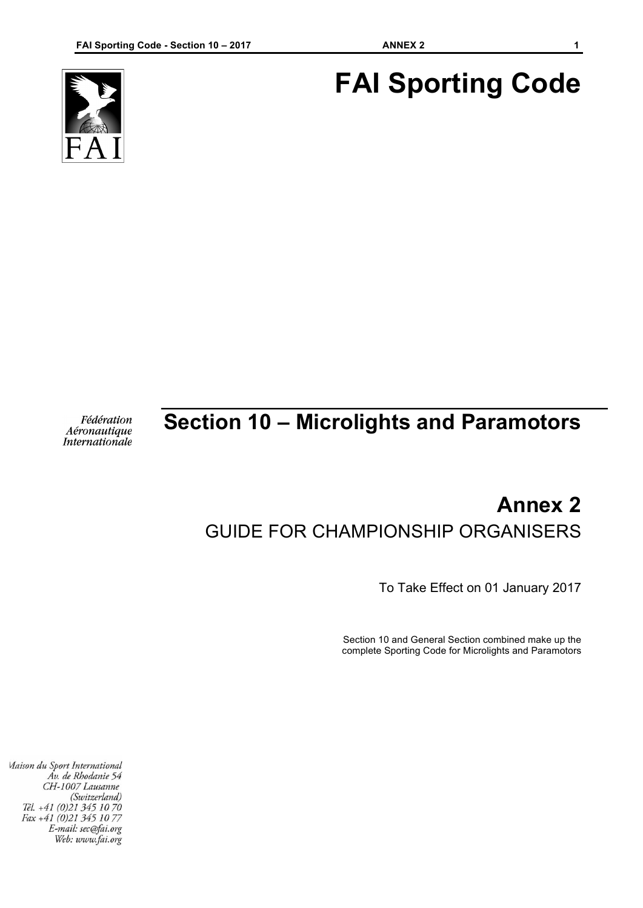# **FAI Sporting Code**



## **Section 10 – Microlights and Paramotors**

Fédération Aéronautique **Internationale** 

### **Annex 2** GUIDE FOR CHAMPIONSHIP ORGANISERS

To Take Effect on 01 January 2017

Section 10 and General Section combined make up the complete Sporting Code for Microlights and Paramotors

Maison du Sport International Áv. de Rhodanie 54 CH-1007 Lausanne (Switzerland) Tél. +41 (0)21 345 10 70 Fax +41 (0)21 345 10 77 E-mail: sec@fai.org Web: www.fai.org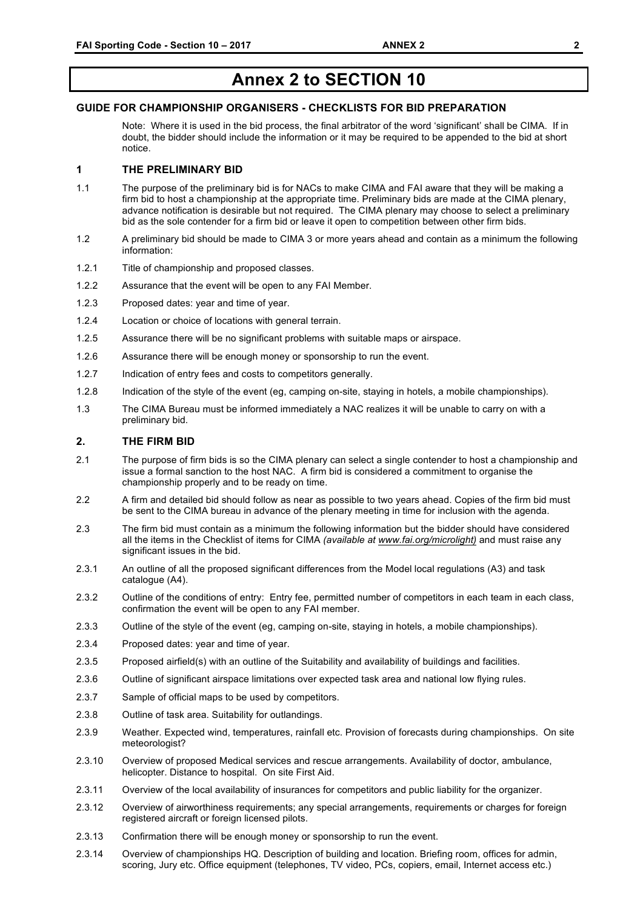### **Annex 2 to SECTION 10**

#### **GUIDE FOR CHAMPIONSHIP ORGANISERS - CHECKLISTS FOR BID PREPARATION**

Note: Where it is used in the bid process, the final arbitrator of the word 'significant' shall be CIMA. If in doubt, the bidder should include the information or it may be required to be appended to the bid at short notice.

#### **1 THE PRELIMINARY BID**

- 1.1 The purpose of the preliminary bid is for NACs to make CIMA and FAI aware that they will be making a firm bid to host a championship at the appropriate time. Preliminary bids are made at the CIMA plenary, advance notification is desirable but not required. The CIMA plenary may choose to select a preliminary bid as the sole contender for a firm bid or leave it open to competition between other firm bids.
- 1.2 A preliminary bid should be made to CIMA 3 or more years ahead and contain as a minimum the following information:
- 1.2.1 Title of championship and proposed classes.
- 1.2.2 Assurance that the event will be open to any FAI Member.
- 1.2.3 Proposed dates: year and time of year.
- 1.2.4 Location or choice of locations with general terrain.
- 1.2.5 Assurance there will be no significant problems with suitable maps or airspace.
- 1.2.6 Assurance there will be enough money or sponsorship to run the event.
- 1.2.7 Indication of entry fees and costs to competitors generally.
- 1.2.8 Indication of the style of the event (eg, camping on-site, staying in hotels, a mobile championships).
- 1.3 The CIMA Bureau must be informed immediately a NAC realizes it will be unable to carry on with a preliminary bid.

#### **2. THE FIRM BID**

- 2.1 The purpose of firm bids is so the CIMA plenary can select a single contender to host a championship and issue a formal sanction to the host NAC. A firm bid is considered a commitment to organise the championship properly and to be ready on time.
- 2.2 A firm and detailed bid should follow as near as possible to two years ahead. Copies of the firm bid must be sent to the CIMA bureau in advance of the plenary meeting in time for inclusion with the agenda.
- 2.3 The firm bid must contain as a minimum the following information but the bidder should have considered all the items in the Checklist of items for CIMA *(available at www.fai.org/microlight)* and must raise any significant issues in the bid.
- 2.3.1 An outline of all the proposed significant differences from the Model local regulations (A3) and task catalogue (A4).
- 2.3.2 Outline of the conditions of entry: Entry fee, permitted number of competitors in each team in each class, confirmation the event will be open to any FAI member.
- 2.3.3 Outline of the style of the event (eg, camping on-site, staying in hotels, a mobile championships).
- 2.3.4 Proposed dates: year and time of year.
- 2.3.5 Proposed airfield(s) with an outline of the Suitability and availability of buildings and facilities.
- 2.3.6 Outline of significant airspace limitations over expected task area and national low flying rules.
- 2.3.7 Sample of official maps to be used by competitors.
- 2.3.8 Outline of task area. Suitability for outlandings.
- 2.3.9 Weather. Expected wind, temperatures, rainfall etc. Provision of forecasts during championships. On site meteorologist?
- 2.3.10 Overview of proposed Medical services and rescue arrangements. Availability of doctor, ambulance, helicopter. Distance to hospital. On site First Aid.
- 2.3.11 Overview of the local availability of insurances for competitors and public liability for the organizer.
- 2.3.12 Overview of airworthiness requirements; any special arrangements, requirements or charges for foreign registered aircraft or foreign licensed pilots.
- 2.3.13 Confirmation there will be enough money or sponsorship to run the event.
- 2.3.14 Overview of championships HQ. Description of building and location. Briefing room, offices for admin, scoring, Jury etc. Office equipment (telephones, TV video, PCs, copiers, email, Internet access etc.)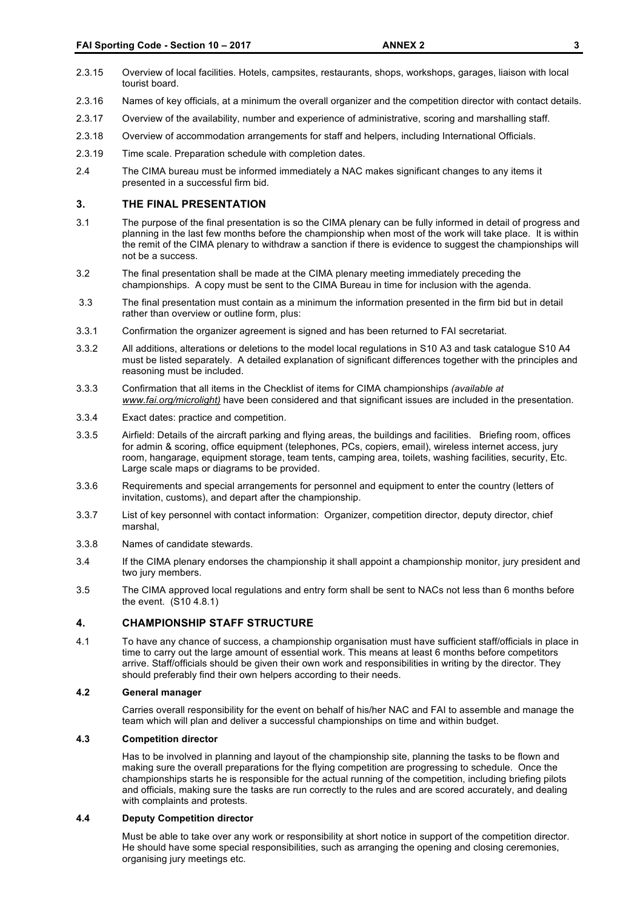- 2.3.15 Overview of local facilities. Hotels, campsites, restaurants, shops, workshops, garages, liaison with local tourist board.
- 2.3.16 Names of key officials, at a minimum the overall organizer and the competition director with contact details.
- 2.3.17 Overview of the availability, number and experience of administrative, scoring and marshalling staff.
- 2.3.18 Overview of accommodation arrangements for staff and helpers, including International Officials.
- 2.3.19 Time scale. Preparation schedule with completion dates.
- 2.4 The CIMA bureau must be informed immediately a NAC makes significant changes to any items it presented in a successful firm bid.

#### **3. THE FINAL PRESENTATION**

- 3.1 The purpose of the final presentation is so the CIMA plenary can be fully informed in detail of progress and planning in the last few months before the championship when most of the work will take place. It is within the remit of the CIMA plenary to withdraw a sanction if there is evidence to suggest the championships will not be a success.
- 3.2 The final presentation shall be made at the CIMA plenary meeting immediately preceding the championships. A copy must be sent to the CIMA Bureau in time for inclusion with the agenda.
- 3.3 The final presentation must contain as a minimum the information presented in the firm bid but in detail rather than overview or outline form, plus:
- 3.3.1 Confirmation the organizer agreement is signed and has been returned to FAI secretariat.
- 3.3.2 All additions, alterations or deletions to the model local regulations in S10 A3 and task catalogue S10 A4 must be listed separately. A detailed explanation of significant differences together with the principles and reasoning must be included.
- 3.3.3 Confirmation that all items in the Checklist of items for CIMA championships *(available at www.fai.org/microlight)* have been considered and that significant issues are included in the presentation.
- 3.3.4 Exact dates: practice and competition.
- 3.3.5 Airfield: Details of the aircraft parking and flying areas, the buildings and facilities. Briefing room, offices for admin & scoring, office equipment (telephones, PCs, copiers, email), wireless internet access, jury room, hangarage, equipment storage, team tents, camping area, toilets, washing facilities, security, Etc. Large scale maps or diagrams to be provided.
- 3.3.6 Requirements and special arrangements for personnel and equipment to enter the country (letters of invitation, customs), and depart after the championship.
- 3.3.7 List of key personnel with contact information: Organizer, competition director, deputy director, chief marshal,
- 3.3.8 Names of candidate stewards.
- 3.4 If the CIMA plenary endorses the championship it shall appoint a championship monitor, jury president and two jury members.
- 3.5 The CIMA approved local regulations and entry form shall be sent to NACs not less than 6 months before the event. (S10 4.8.1)

#### **4. CHAMPIONSHIP STAFF STRUCTURE**

4.1 To have any chance of success, a championship organisation must have sufficient staff/officials in place in time to carry out the large amount of essential work. This means at least 6 months before competitors arrive. Staff/officials should be given their own work and responsibilities in writing by the director. They should preferably find their own helpers according to their needs.

#### **4.2 General manager**

Carries overall responsibility for the event on behalf of his/her NAC and FAI to assemble and manage the team which will plan and deliver a successful championships on time and within budget.

#### **4.3 Competition director**

Has to be involved in planning and layout of the championship site, planning the tasks to be flown and making sure the overall preparations for the flying competition are progressing to schedule. Once the championships starts he is responsible for the actual running of the competition, including briefing pilots and officials, making sure the tasks are run correctly to the rules and are scored accurately, and dealing with complaints and protests.

#### **4.4 Deputy Competition director**

Must be able to take over any work or responsibility at short notice in support of the competition director. He should have some special responsibilities, such as arranging the opening and closing ceremonies, organising jury meetings etc.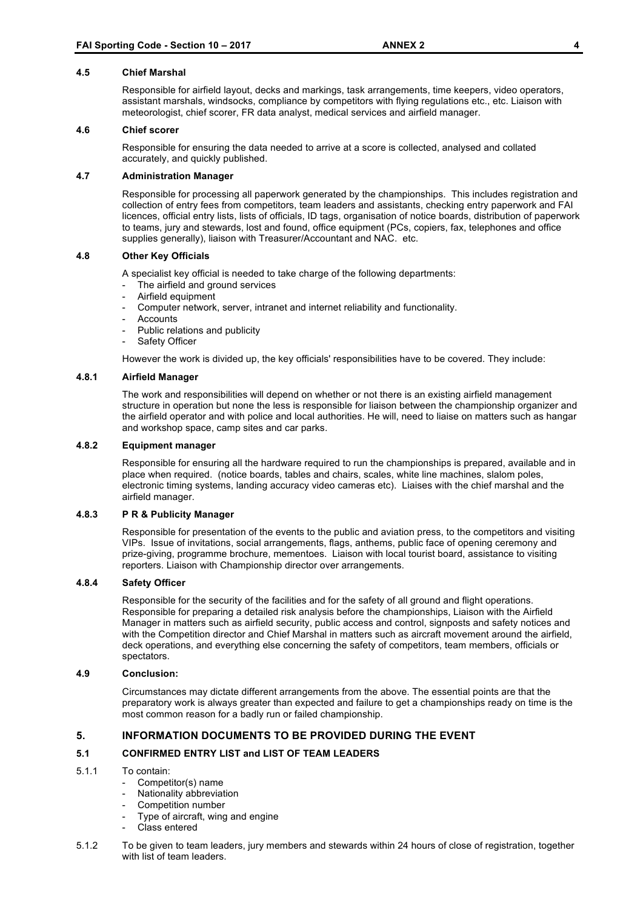#### **4.5 Chief Marshal**

Responsible for airfield layout, decks and markings, task arrangements, time keepers, video operators, assistant marshals, windsocks, compliance by competitors with flying regulations etc., etc. Liaison with meteorologist, chief scorer, FR data analyst, medical services and airfield manager.

#### **4.6 Chief scorer**

Responsible for ensuring the data needed to arrive at a score is collected, analysed and collated accurately, and quickly published.

#### **4.7 Administration Manager**

Responsible for processing all paperwork generated by the championships. This includes registration and collection of entry fees from competitors, team leaders and assistants, checking entry paperwork and FAI licences, official entry lists, lists of officials, ID tags, organisation of notice boards, distribution of paperwork to teams, jury and stewards, lost and found, office equipment (PCs, copiers, fax, telephones and office supplies generally), liaison with Treasurer/Accountant and NAC. etc.

#### **4.8 Other Key Officials**

A specialist key official is needed to take charge of the following departments:

- The airfield and ground services
- Airfield equipment
- Computer network, server, intranet and internet reliability and functionality.
- **Accounts**
- Public relations and publicity
- Safety Officer

However the work is divided up, the key officials' responsibilities have to be covered. They include:

#### **4.8.1 Airfield Manager**

The work and responsibilities will depend on whether or not there is an existing airfield management structure in operation but none the less is responsible for liaison between the championship organizer and the airfield operator and with police and local authorities. He will, need to liaise on matters such as hangar and workshop space, camp sites and car parks.

#### **4.8.2 Equipment manager**

Responsible for ensuring all the hardware required to run the championships is prepared, available and in place when required. (notice boards, tables and chairs, scales, white line machines, slalom poles, electronic timing systems, landing accuracy video cameras etc). Liaises with the chief marshal and the airfield manager.

#### **4.8.3 P R & Publicity Manager**

Responsible for presentation of the events to the public and aviation press, to the competitors and visiting VIPs. Issue of invitations, social arrangements, flags, anthems, public face of opening ceremony and prize-giving, programme brochure, mementoes. Liaison with local tourist board, assistance to visiting reporters. Liaison with Championship director over arrangements.

#### **4.8.4 Safety Officer**

Responsible for the security of the facilities and for the safety of all ground and flight operations. Responsible for preparing a detailed risk analysis before the championships, Liaison with the Airfield Manager in matters such as airfield security, public access and control, signposts and safety notices and with the Competition director and Chief Marshal in matters such as aircraft movement around the airfield, deck operations, and everything else concerning the safety of competitors, team members, officials or spectators.

#### **4.9 Conclusion:**

Circumstances may dictate different arrangements from the above. The essential points are that the preparatory work is always greater than expected and failure to get a championships ready on time is the most common reason for a badly run or failed championship.

#### **5. INFORMATION DOCUMENTS TO BE PROVIDED DURING THE EVENT**

#### **5.1 CONFIRMED ENTRY LIST and LIST OF TEAM LEADERS**

#### 5.1.1 To contain:

- Competitor(s) name
- Nationality abbreviation
- Competition number
- Type of aircraft, wing and engine
- Class entered
- 5.1.2 To be given to team leaders, jury members and stewards within 24 hours of close of registration, together with list of team leaders.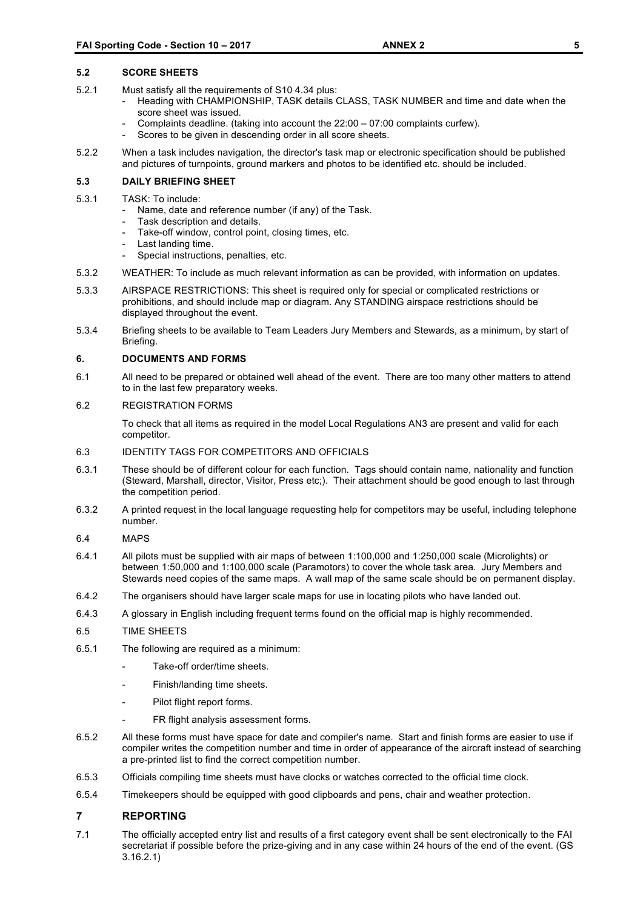- 5.2.1 Must satisfy all the requirements of S10 4.34 plus:
	- Heading with CHAMPIONSHIP, TASK details CLASS, TASK NUMBER and time and date when the score sheet was issued.
		- Complaints deadline. (taking into account the 22:00 07:00 complaints curfew).
		- Scores to be given in descending order in all score sheets.
- 5.2.2 When a task includes navigation, the director's task map or electronic specification should be published and pictures of turnpoints, ground markers and photos to be identified etc. should be included.

#### **5.3 DAILY BRIEFING SHEET**

- 5.3.1 TASK: To include:
	- Name, date and reference number (if any) of the Task.
	- Task description and details.
	- Take-off window, control point, closing times, etc.
	- Last landing time.
	- Special instructions, penalties, etc.
- 5.3.2 WEATHER: To include as much relevant information as can be provided, with information on updates.
- 5.3.3 AIRSPACE RESTRICTIONS: This sheet is required only for special or complicated restrictions or prohibitions, and should include map or diagram. Any STANDING airspace restrictions should be displayed throughout the event.
- 5.3.4 Briefing sheets to be available to Team Leaders Jury Members and Stewards, as a minimum, by start of Briefing.

#### **6. DOCUMENTS AND FORMS**

6.1 All need to be prepared or obtained well ahead of the event. There are too many other matters to attend to in the last few preparatory weeks.

#### 6.2 REGISTRATION FORMS

To check that all items as required in the model Local Regulations AN3 are present and valid for each competitor.

#### 6.3 IDENTITY TAGS FOR COMPETITORS AND OFFICIALS

- 6.3.1 These should be of different colour for each function. Tags should contain name, nationality and function (Steward, Marshall, director, Visitor, Press etc;). Their attachment should be good enough to last through the competition period.
- 6.3.2 A printed request in the local language requesting help for competitors may be useful, including telephone number.
- 6.4 MAPS
- 6.4.1 All pilots must be supplied with air maps of between 1:100,000 and 1:250,000 scale (Microlights) or between 1:50,000 and 1:100,000 scale (Paramotors) to cover the whole task area. Jury Members and Stewards need copies of the same maps. A wall map of the same scale should be on permanent display.
- 6.4.2 The organisers should have larger scale maps for use in locating pilots who have landed out.
- 6.4.3 A glossary in English including frequent terms found on the official map is highly recommended.
- 6.5 TIME SHEETS
- 6.5.1 The following are required as a minimum:
	- Take-off order/time sheets.
	- Finish/landing time sheets.
	- Pilot flight report forms.
	- FR flight analysis assessment forms.
- 6.5.2 All these forms must have space for date and compiler's name. Start and finish forms are easier to use if compiler writes the competition number and time in order of appearance of the aircraft instead of searching a pre-printed list to find the correct competition number.
- 6.5.3 Officials compiling time sheets must have clocks or watches corrected to the official time clock.
- 6.5.4 Timekeepers should be equipped with good clipboards and pens, chair and weather protection.

#### **7 REPORTING**

7.1 The officially accepted entry list and results of a first category event shall be sent electronically to the FAI secretariat if possible before the prize-giving and in any case within 24 hours of the end of the event. (GS 3.16.2.1)